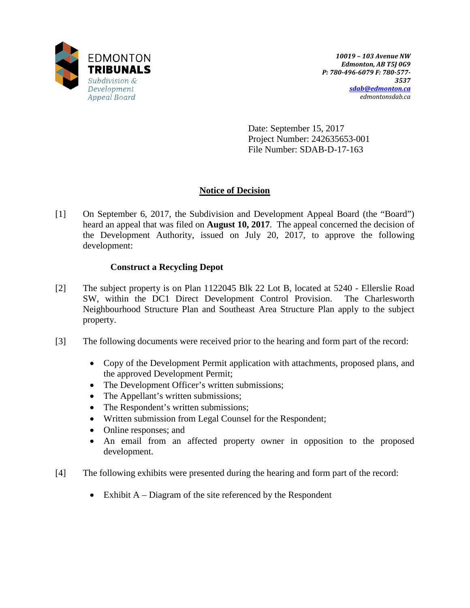

Date: September 15, 2017 Project Number: 242635653-001 File Number: SDAB-D-17-163

# **Notice of Decision**

[1] On September 6, 2017, the Subdivision and Development Appeal Board (the "Board") heard an appeal that was filed on **August 10, 2017**. The appeal concerned the decision of the Development Authority, issued on July 20, 2017, to approve the following development:

### **Construct a Recycling Depot**

- [2] The subject property is on Plan 1122045 Blk 22 Lot B, located at 5240 Ellerslie Road SW, within the DC1 Direct Development Control Provision. The Charlesworth Neighbourhood Structure Plan and Southeast Area Structure Plan apply to the subject property.
- [3] The following documents were received prior to the hearing and form part of the record:
	- Copy of the Development Permit application with attachments, proposed plans, and the approved Development Permit;
	- The Development Officer's written submissions;
	- The Appellant's written submissions;
	- The Respondent's written submissions;
	- Written submission from Legal Counsel for the Respondent;
	- Online responses; and
	- An email from an affected property owner in opposition to the proposed development.
- [4] The following exhibits were presented during the hearing and form part of the record:
	- Exhibit  $A Diagram$  of the site referenced by the Respondent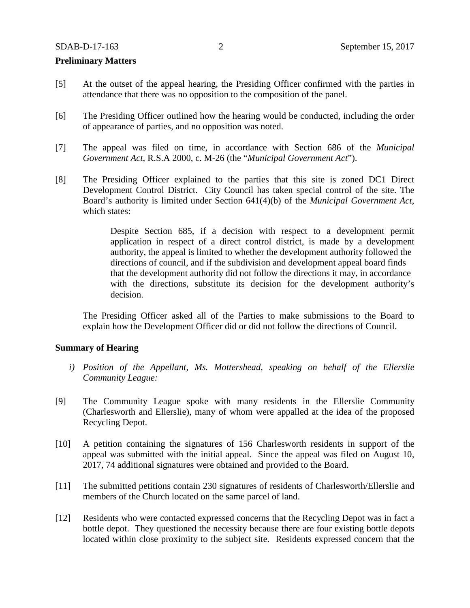#### **Preliminary Matters**

- [5] At the outset of the appeal hearing, the Presiding Officer confirmed with the parties in attendance that there was no opposition to the composition of the panel.
- [6] The Presiding Officer outlined how the hearing would be conducted, including the order of appearance of parties, and no opposition was noted.
- [7] The appeal was filed on time, in accordance with Section 686 of the *Municipal Government Act*, R.S.A 2000, c. M-26 (the "*Municipal Government Act*").
- [8] The Presiding Officer explained to the parties that this site is zoned DC1 Direct Development Control District. City Council has taken special control of the site. The Board's authority is limited under Section 641(4)(b) of the *Municipal Government Act*, which states:

Despite Section 685, if a decision with respect to a development permit application in respect of a direct control district, is made by a development authority, the appeal is limited to whether the development authority followed the directions of council, and if the subdivision and development appeal board finds that the development authority did not follow the directions it may, in accordance with the directions, substitute its decision for the development authority's decision.

The Presiding Officer asked all of the Parties to make submissions to the Board to explain how the Development Officer did or did not follow the directions of Council.

#### **Summary of Hearing**

- *i) Position of the Appellant, Ms. Mottershead, speaking on behalf of the Ellerslie Community League:*
- [9] The Community League spoke with many residents in the Ellerslie Community (Charlesworth and Ellerslie), many of whom were appalled at the idea of the proposed Recycling Depot.
- [10] A petition containing the signatures of 156 Charlesworth residents in support of the appeal was submitted with the initial appeal. Since the appeal was filed on August 10, 2017, 74 additional signatures were obtained and provided to the Board.
- [11] The submitted petitions contain 230 signatures of residents of Charlesworth/Ellerslie and members of the Church located on the same parcel of land.
- [12] Residents who were contacted expressed concerns that the Recycling Depot was in fact a bottle depot. They questioned the necessity because there are four existing bottle depots located within close proximity to the subject site. Residents expressed concern that the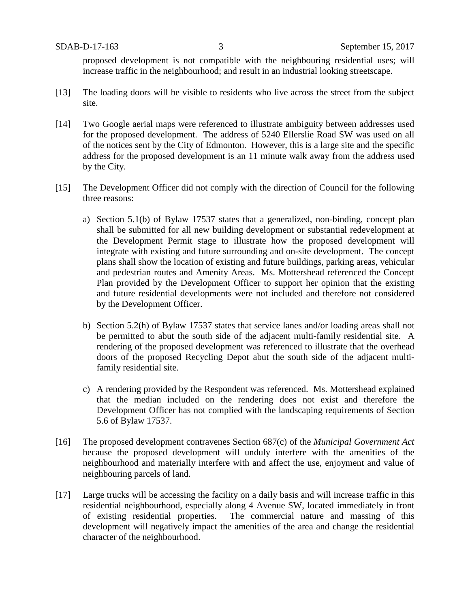proposed development is not compatible with the neighbouring residential uses; will increase traffic in the neighbourhood; and result in an industrial looking streetscape.

- [13] The loading doors will be visible to residents who live across the street from the subject site.
- [14] Two Google aerial maps were referenced to illustrate ambiguity between addresses used for the proposed development. The address of 5240 Ellerslie Road SW was used on all of the notices sent by the City of Edmonton. However, this is a large site and the specific address for the proposed development is an 11 minute walk away from the address used by the City.
- [15] The Development Officer did not comply with the direction of Council for the following three reasons:
	- a) Section 5.1(b) of Bylaw 17537 states that a generalized, non-binding, concept plan shall be submitted for all new building development or substantial redevelopment at the Development Permit stage to illustrate how the proposed development will integrate with existing and future surrounding and on-site development. The concept plans shall show the location of existing and future buildings, parking areas, vehicular and pedestrian routes and Amenity Areas. Ms. Mottershead referenced the Concept Plan provided by the Development Officer to support her opinion that the existing and future residential developments were not included and therefore not considered by the Development Officer.
	- b) Section 5.2(h) of Bylaw 17537 states that service lanes and/or loading areas shall not be permitted to abut the south side of the adjacent multi-family residential site. A rendering of the proposed development was referenced to illustrate that the overhead doors of the proposed Recycling Depot abut the south side of the adjacent multifamily residential site.
	- c) A rendering provided by the Respondent was referenced. Ms. Mottershead explained that the median included on the rendering does not exist and therefore the Development Officer has not complied with the landscaping requirements of Section 5.6 of Bylaw 17537.
- [16] The proposed development contravenes Section 687(c) of the *Municipal Government Act* because the proposed development will unduly interfere with the amenities of the neighbourhood and materially interfere with and affect the use, enjoyment and value of neighbouring parcels of land.
- [17] Large trucks will be accessing the facility on a daily basis and will increase traffic in this residential neighbourhood, especially along 4 Avenue SW, located immediately in front of existing residential properties. The commercial nature and massing of this development will negatively impact the amenities of the area and change the residential character of the neighbourhood.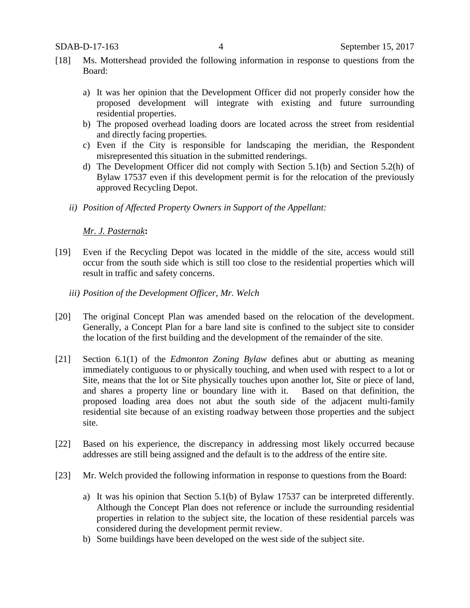- [18] Ms. Mottershead provided the following information in response to questions from the Board:
	- a) It was her opinion that the Development Officer did not properly consider how the proposed development will integrate with existing and future surrounding residential properties.
	- b) The proposed overhead loading doors are located across the street from residential and directly facing properties.
	- c) Even if the City is responsible for landscaping the meridian, the Respondent misrepresented this situation in the submitted renderings.
	- d) The Development Officer did not comply with Section 5.1(b) and Section 5.2(h) of Bylaw 17537 even if this development permit is for the relocation of the previously approved Recycling Depot.
	- *ii) Position of Affected Property Owners in Support of the Appellant:*

### *Mr. J. Pasternak***:**

- [19] Even if the Recycling Depot was located in the middle of the site, access would still occur from the south side which is still too close to the residential properties which will result in traffic and safety concerns.
	- *iii) Position of the Development Officer, Mr. Welch*
- [20] The original Concept Plan was amended based on the relocation of the development. Generally, a Concept Plan for a bare land site is confined to the subject site to consider the location of the first building and the development of the remainder of the site.
- [21] Section 6.1(1) of the *Edmonton Zoning Bylaw* defines abut or abutting as meaning immediately contiguous to or physically touching, and when used with respect to a lot or Site, means that the lot or Site physically touches upon another lot, Site or piece of land, and shares a property line or boundary line with it. Based on that definition, the proposed loading area does not abut the south side of the adjacent multi-family residential site because of an existing roadway between those properties and the subject site.
- [22] Based on his experience, the discrepancy in addressing most likely occurred because addresses are still being assigned and the default is to the address of the entire site.
- [23] Mr. Welch provided the following information in response to questions from the Board:
	- a) It was his opinion that Section 5.1(b) of Bylaw 17537 can be interpreted differently. Although the Concept Plan does not reference or include the surrounding residential properties in relation to the subject site, the location of these residential parcels was considered during the development permit review.
	- b) Some buildings have been developed on the west side of the subject site.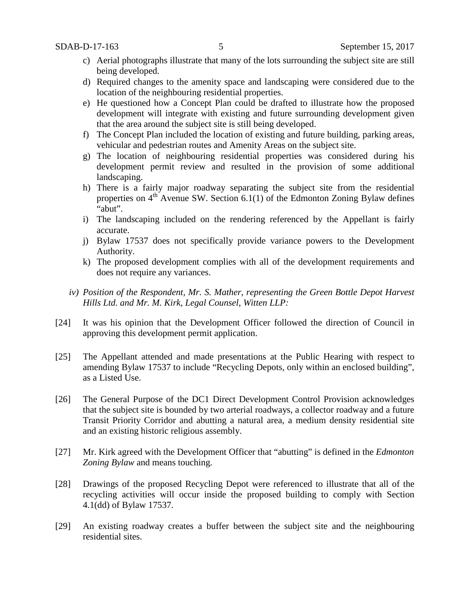- c) Aerial photographs illustrate that many of the lots surrounding the subject site are still being developed.
- d) Required changes to the amenity space and landscaping were considered due to the location of the neighbouring residential properties.
- e) He questioned how a Concept Plan could be drafted to illustrate how the proposed development will integrate with existing and future surrounding development given that the area around the subject site is still being developed.
- f) The Concept Plan included the location of existing and future building, parking areas, vehicular and pedestrian routes and Amenity Areas on the subject site.
- g) The location of neighbouring residential properties was considered during his development permit review and resulted in the provision of some additional landscaping.
- h) There is a fairly major roadway separating the subject site from the residential properties on  $4<sup>th</sup>$  Avenue SW. Section 6.1(1) of the Edmonton Zoning Bylaw defines "abut".
- i) The landscaping included on the rendering referenced by the Appellant is fairly accurate.
- j) Bylaw 17537 does not specifically provide variance powers to the Development Authority.
- k) The proposed development complies with all of the development requirements and does not require any variances.
- *iv) Position of the Respondent, Mr. S. Mather, representing the Green Bottle Depot Harvest Hills Ltd. and Mr. M. Kirk, Legal Counsel, Witten LLP:*
- [24] It was his opinion that the Development Officer followed the direction of Council in approving this development permit application.
- [25] The Appellant attended and made presentations at the Public Hearing with respect to amending Bylaw 17537 to include "Recycling Depots, only within an enclosed building", as a Listed Use.
- [26] The General Purpose of the DC1 Direct Development Control Provision acknowledges that the subject site is bounded by two arterial roadways, a collector roadway and a future Transit Priority Corridor and abutting a natural area, a medium density residential site and an existing historic religious assembly.
- [27] Mr. Kirk agreed with the Development Officer that "abutting" is defined in the *Edmonton Zoning Bylaw* and means touching.
- [28] Drawings of the proposed Recycling Depot were referenced to illustrate that all of the recycling activities will occur inside the proposed building to comply with Section 4.1(dd) of Bylaw 17537.
- [29] An existing roadway creates a buffer between the subject site and the neighbouring residential sites.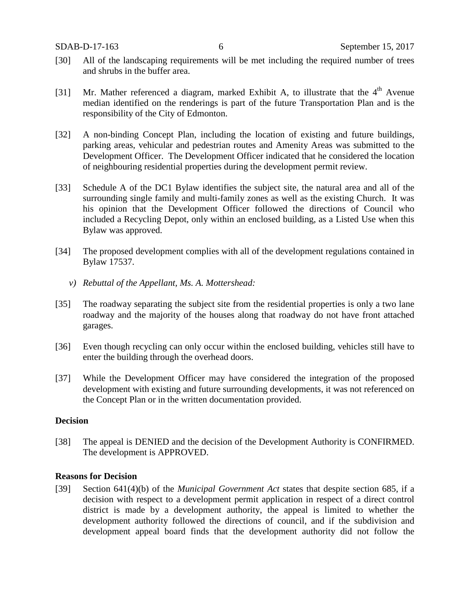- [30] All of the landscaping requirements will be met including the required number of trees and shrubs in the buffer area.
- [31] Mr. Mather referenced a diagram, marked Exhibit A, to illustrate that the  $4<sup>th</sup>$  Avenue median identified on the renderings is part of the future Transportation Plan and is the responsibility of the City of Edmonton.
- [32] A non-binding Concept Plan, including the location of existing and future buildings, parking areas, vehicular and pedestrian routes and Amenity Areas was submitted to the Development Officer. The Development Officer indicated that he considered the location of neighbouring residential properties during the development permit review.
- [33] Schedule A of the DC1 Bylaw identifies the subject site, the natural area and all of the surrounding single family and multi-family zones as well as the existing Church. It was his opinion that the Development Officer followed the directions of Council who included a Recycling Depot, only within an enclosed building, as a Listed Use when this Bylaw was approved.
- [34] The proposed development complies with all of the development regulations contained in Bylaw 17537.
	- *v) Rebuttal of the Appellant, Ms. A. Mottershead:*
- [35] The roadway separating the subject site from the residential properties is only a two lane roadway and the majority of the houses along that roadway do not have front attached garages.
- [36] Even though recycling can only occur within the enclosed building, vehicles still have to enter the building through the overhead doors.
- [37] While the Development Officer may have considered the integration of the proposed development with existing and future surrounding developments, it was not referenced on the Concept Plan or in the written documentation provided.

### **Decision**

[38] The appeal is DENIED and the decision of the Development Authority is CONFIRMED. The development is APPROVED.

### **Reasons for Decision**

[39] Section 641(4)(b) of the *Municipal Government Act* states that despite section 685, if a decision with respect to a development permit application in respect of a direct control district is made by a development authority, the appeal is limited to whether the development authority followed the directions of council, and if the subdivision and development appeal board finds that the development authority did not follow the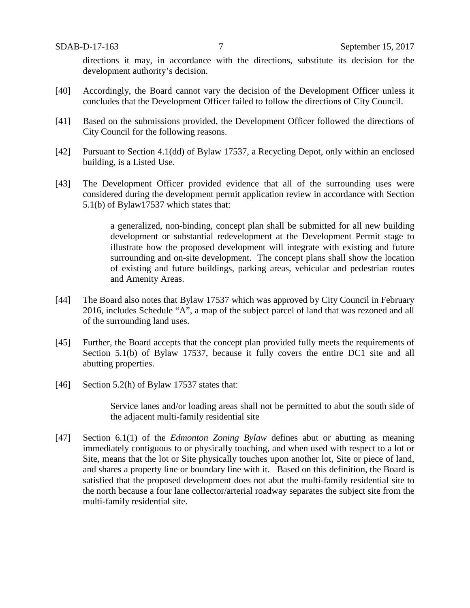directions it may, in accordance with the directions, substitute its decision for the development authority's decision.

- [40] Accordingly, the Board cannot vary the decision of the Development Officer unless it concludes that the Development Officer failed to follow the directions of City Council.
- [41] Based on the submissions provided, the Development Officer followed the directions of City Council for the following reasons.
- [42] Pursuant to Section 4.1(dd) of Bylaw 17537, a Recycling Depot, only within an enclosed building, is a Listed Use.
- [43] The Development Officer provided evidence that all of the surrounding uses were considered during the development permit application review in accordance with Section 5.1(b) of Bylaw17537 which states that:

a generalized, non-binding, concept plan shall be submitted for all new building development or substantial redevelopment at the Development Permit stage to illustrate how the proposed development will integrate with existing and future surrounding and on-site development. The concept plans shall show the location of existing and future buildings, parking areas, vehicular and pedestrian routes and Amenity Areas.

- [44] The Board also notes that Bylaw 17537 which was approved by City Council in February 2016, includes Schedule "A", a map of the subject parcel of land that was rezoned and all of the surrounding land uses.
- [45] Further, the Board accepts that the concept plan provided fully meets the requirements of Section 5.1(b) of Bylaw 17537, because it fully covers the entire DC1 site and all abutting properties.
- [46] Section 5.2(h) of Bylaw 17537 states that:

Service lanes and/or loading areas shall not be permitted to abut the south side of the adjacent multi-family residential site

[47] Section 6.1(1) of the *Edmonton Zoning Bylaw* defines abut or abutting as meaning immediately contiguous to or physically touching, and when used with respect to a lot or Site, means that the lot or Site physically touches upon another lot, Site or piece of land, and shares a property line or boundary line with it. Based on this definition, the Board is satisfied that the proposed development does not abut the multi-family residential site to the north because a four lane collector/arterial roadway separates the subject site from the multi-family residential site.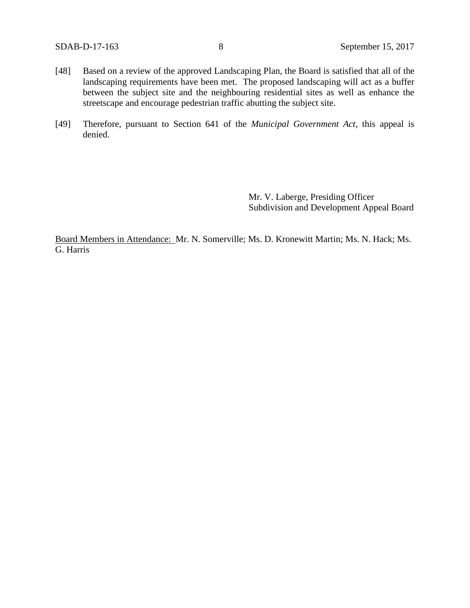- [48] Based on a review of the approved Landscaping Plan, the Board is satisfied that all of the landscaping requirements have been met. The proposed landscaping will act as a buffer between the subject site and the neighbouring residential sites as well as enhance the streetscape and encourage pedestrian traffic abutting the subject site.
- [49] Therefore, pursuant to Section 641 of the *Municipal Government Act*, this appeal is denied.

Mr. V. Laberge, Presiding Officer Subdivision and Development Appeal Board

Board Members in Attendance: Mr. N. Somerville; Ms. D. Kronewitt Martin; Ms. N. Hack; Ms. G. Harris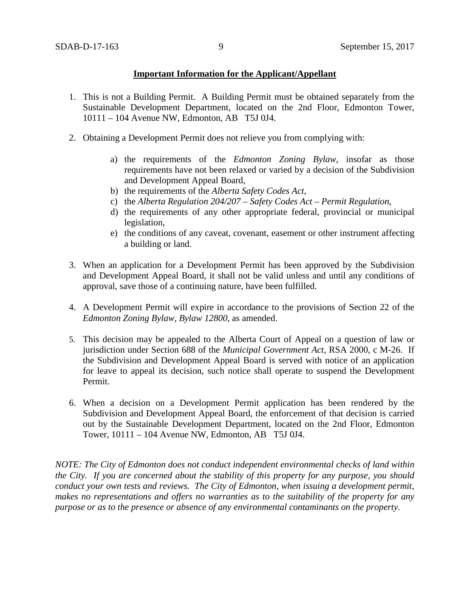### **Important Information for the Applicant/Appellant**

- 1. This is not a Building Permit. A Building Permit must be obtained separately from the Sustainable Development Department, located on the 2nd Floor, Edmonton Tower, 10111 – 104 Avenue NW, Edmonton, AB T5J 0J4.
- 2. Obtaining a Development Permit does not relieve you from complying with:
	- a) the requirements of the *Edmonton Zoning Bylaw*, insofar as those requirements have not been relaxed or varied by a decision of the Subdivision and Development Appeal Board,
	- b) the requirements of the *Alberta Safety Codes Act*,
	- c) the *Alberta Regulation 204/207 – Safety Codes Act – Permit Regulation*,
	- d) the requirements of any other appropriate federal, provincial or municipal legislation,
	- e) the conditions of any caveat, covenant, easement or other instrument affecting a building or land.
- 3. When an application for a Development Permit has been approved by the Subdivision and Development Appeal Board, it shall not be valid unless and until any conditions of approval, save those of a continuing nature, have been fulfilled.
- 4. A Development Permit will expire in accordance to the provisions of Section 22 of the *Edmonton Zoning Bylaw, Bylaw 12800*, as amended.
- 5. This decision may be appealed to the Alberta Court of Appeal on a question of law or jurisdiction under Section 688 of the *Municipal Government Act*, RSA 2000, c M-26. If the Subdivision and Development Appeal Board is served with notice of an application for leave to appeal its decision, such notice shall operate to suspend the Development Permit.
- 6. When a decision on a Development Permit application has been rendered by the Subdivision and Development Appeal Board, the enforcement of that decision is carried out by the Sustainable Development Department, located on the 2nd Floor, Edmonton Tower, 10111 – 104 Avenue NW, Edmonton, AB T5J 0J4.

*NOTE: The City of Edmonton does not conduct independent environmental checks of land within the City. If you are concerned about the stability of this property for any purpose, you should conduct your own tests and reviews. The City of Edmonton, when issuing a development permit, makes no representations and offers no warranties as to the suitability of the property for any purpose or as to the presence or absence of any environmental contaminants on the property.*